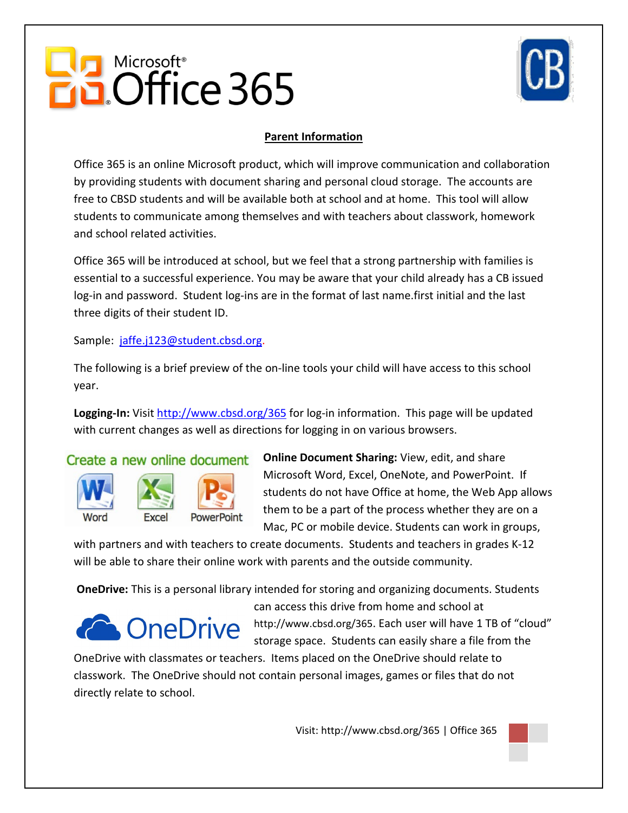# **Ba** Microsoft<sup>®</sup><br>Ba Office 365



### **Parent Information**

Office 365 is an online Microsoft product, which will improve communication and collaboration by providing students with document sharing and personal cloud storage. The accounts are free to CBSD students and will be available both at school and at home. This tool will allow students to communicate among themselves and with teachers about classwork, homework and school related activities.

Office 365 will be introduced at school, but we feel that a strong partnership with families is essential to a successful experience. You may be aware that your child already has a CB issued log-in and password. Student log-ins are in the format of last name.first initial and the last three digits of their student ID.

Sample: [jaffe.j123@student.cbsd.org.](mailto:jaffe.j123@student.cbsd.org)

The following is a brief preview of the on-line tools your child will have access to this school year.

**Logging-In:** Visit<http://www.cbsd.org/365> for log-in information. This page will be updated with current changes as well as directions for logging in on various browsers.

Create a new online document



**Online Document Sharing:** View, edit, and share Microsoft Word, Excel, OneNote, and PowerPoint. If students do not have Office at home, the Web App allows them to be a part of the process whether they are on a Mac, PC or mobile device. Students can work in groups,

with partners and with teachers to create documents. Students and teachers in grades K-12 will be able to share their online work with parents and the outside community.

**OneDrive:** This is a personal library intended for storing and organizing documents. Students

# **Conduction** OneDrive

can access this drive from home and school at http://www.cbsd.org/365. Each user will have 1 TB of "cloud" storage space. Students can easily share a file from the

OneDrive with classmates or teachers. Items placed on the OneDrive should relate to classwork. The OneDrive should not contain personal images, games or files that do not directly relate to school.

Visit: http://www.cbsd.org/365 | Office 365